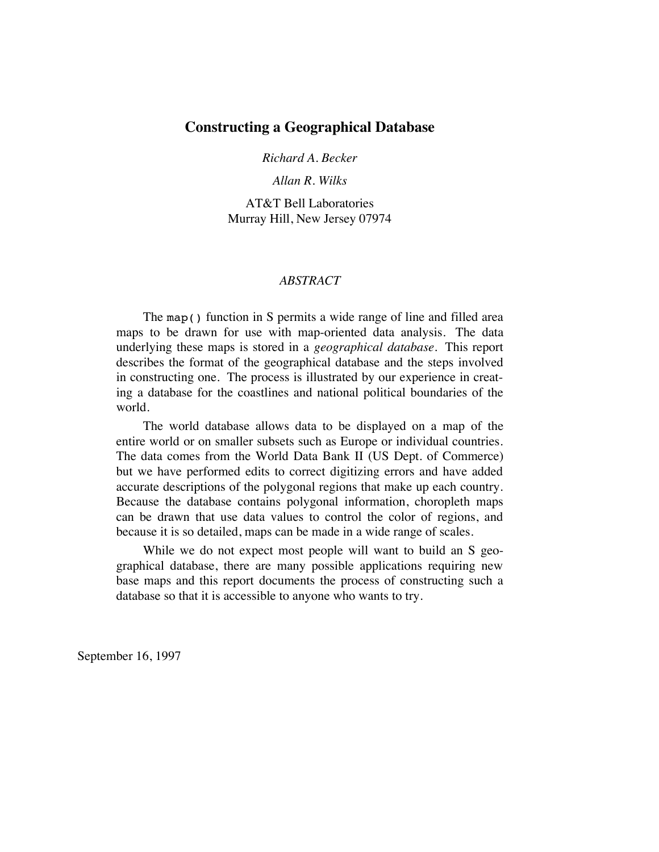# **Constructing a Geographical Database**

*Richard A. Becker*

*Allan R. Wilks*

AT&T Bell Laboratories Murray Hill, New Jersey 07974

### *ABSTRACT*

The map() function in S permits a wide range of line and filled area maps to be drawn for use with map-oriented data analysis. The data underlying these maps is stored in a *geographical database*. This report describes the format of the geographical database and the steps involved in constructing one. The process is illustrated by our experience in creating a database for the coastlines and national political boundaries of the world.

The world database allows data to be displayed on a map of the entire world or on smaller subsets such as Europe or individual countries. The data comes from the World Data Bank II (US Dept. of Commerce) but we have performed edits to correct digitizing errors and have added accurate descriptions of the polygonal regions that make up each country. Because the database contains polygonal information, choropleth maps can be drawn that use data values to control the color of regions, and because it is so detailed, maps can be made in a wide range of scales.

While we do not expect most people will want to build an S geographical database, there are many possible applications requiring new base maps and this report documents the process of constructing such a database so that it is accessible to anyone who wants to try.

September 16, 1997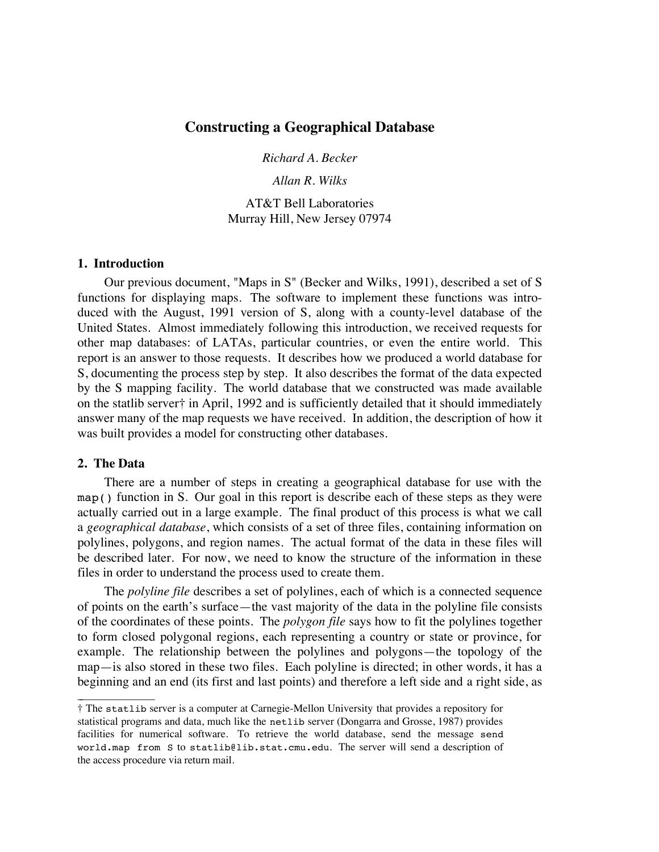# **Constructing a Geographical Database**

*Richard A. Becker*

*Allan R. Wilks*

AT&T Bell Laboratories Murray Hill, New Jersey 07974

#### **1. Introduction**

Our previous document, "Maps in S" (Becker and Wilks, 1991), described a set of S functions for displaying maps. The software to implement these functions was introduced with the August, 1991 version of S, along with a county-level database of the United States. Almost immediately following this introduction, we received requests for other map databases: of LATAs, particular countries, or even the entire world. This report is an answer to those requests. It describes how we produced a world database for S, documenting the process step by step. It also describes the format of the data expected by the S mapping facility. The world database that we constructed was made available on the statlib server† in April, 1992 and is sufficiently detailed that it should immediately answer many of the map requests we have received. In addition, the description of how it was built provides a model for constructing other databases.

#### **2. The Data**

\_ \_\_\_\_\_\_\_\_\_\_\_\_\_\_

There are a number of steps in creating a geographical database for use with the map() function in S. Our goal in this report is describe each of these steps as they were actually carried out in a large example. The final product of this process is what we call a *geographical database*, which consists of a set of three files, containing information on polylines, polygons, and region names. The actual format of the data in these files will be described later. For now, we need to know the structure of the information in these files in order to understand the process used to create them.

The *polyline file* describes a set of polylines, each of which is a connected sequence of points on the earth's surface—the vast majority of the data in the polyline file consists of the coordinates of these points. The *polygon file* says how to fit the polylines together to form closed polygonal regions, each representing a country or state or province, for example. The relationship between the polylines and polygons—the topology of the map—is also stored in these two files. Each polyline is directed; in other words, it has a beginning and an end (its first and last points) and therefore a left side and a right side, as

<sup>†</sup> The statlib server is a computer at Carnegie-Mellon University that provides a repository for statistical programs and data, much like the netlib server (Dongarra and Grosse, 1987) provides facilities for numerical software. To retrieve the world database, send the message send world.map from S to statlib@lib.stat.cmu.edu. The server will send a description of the access procedure via return mail.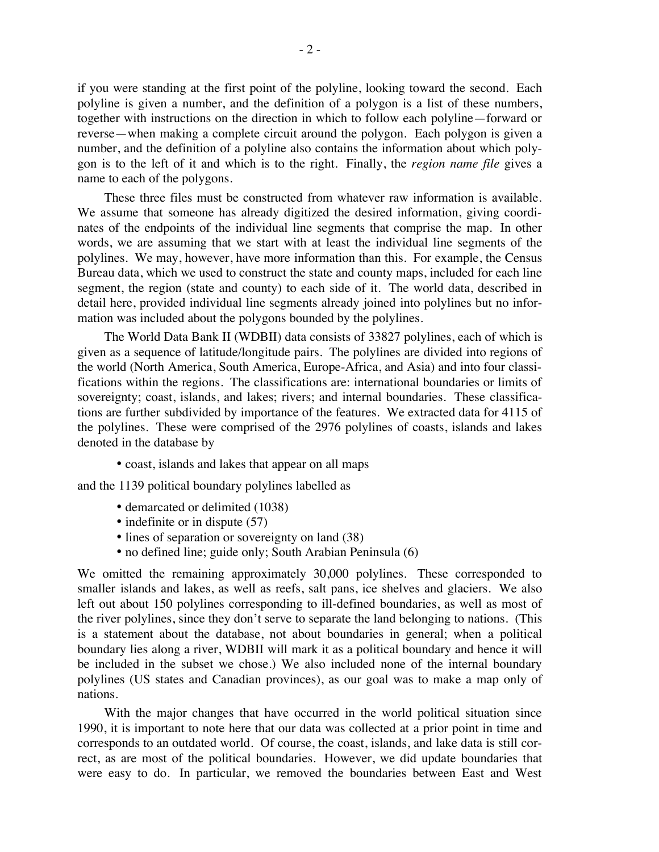if you were standing at the first point of the polyline, looking toward the second. Each polyline is given a number, and the definition of a polygon is a list of these numbers, together with instructions on the direction in which to follow each polyline—forward or reverse—when making a complete circuit around the polygon. Each polygon is given a number, and the definition of a polyline also contains the information about which polygon is to the left of it and which is to the right. Finally, the *region name file* gives a name to each of the polygons.

These three files must be constructed from whatever raw information is available. We assume that someone has already digitized the desired information, giving coordinates of the endpoints of the individual line segments that comprise the map. In other words, we are assuming that we start with at least the individual line segments of the polylines. We may, however, have more information than this. For example, the Census Bureau data, which we used to construct the state and county maps, included for each line segment, the region (state and county) to each side of it. The world data, described in detail here, provided individual line segments already joined into polylines but no information was included about the polygons bounded by the polylines.

The World Data Bank II (WDBII) data consists of 33827 polylines, each of which is given as a sequence of latitude/longitude pairs. The polylines are divided into regions of the world (North America, South America, Europe-Africa, and Asia) and into four classifications within the regions. The classifications are: international boundaries or limits of sovereignty; coast, islands, and lakes; rivers; and internal boundaries. These classifications are further subdivided by importance of the features. We extracted data for 4115 of the polylines. These were comprised of the 2976 polylines of coasts, islands and lakes denoted in the database by

• coast, islands and lakes that appear on all maps

and the 1139 political boundary polylines labelled as

- demarcated or delimited (1038)
- indefinite or in dispute (57)
- lines of separation or sovereignty on land (38)
- no defined line; guide only; South Arabian Peninsula (6)

We omitted the remaining approximately 30,000 polylines. These corresponded to smaller islands and lakes, as well as reefs, salt pans, ice shelves and glaciers. We also left out about 150 polylines corresponding to ill-defined boundaries, as well as most of the river polylines, since they don't serve to separate the land belonging to nations. (This is a statement about the database, not about boundaries in general; when a political boundary lies along a river, WDBII will mark it as a political boundary and hence it will be included in the subset we chose.) We also included none of the internal boundary polylines (US states and Canadian provinces), as our goal was to make a map only of nations.

With the major changes that have occurred in the world political situation since 1990, it is important to note here that our data was collected at a prior point in time and corresponds to an outdated world. Of course, the coast, islands, and lake data is still correct, as are most of the political boundaries. However, we did update boundaries that were easy to do. In particular, we removed the boundaries between East and West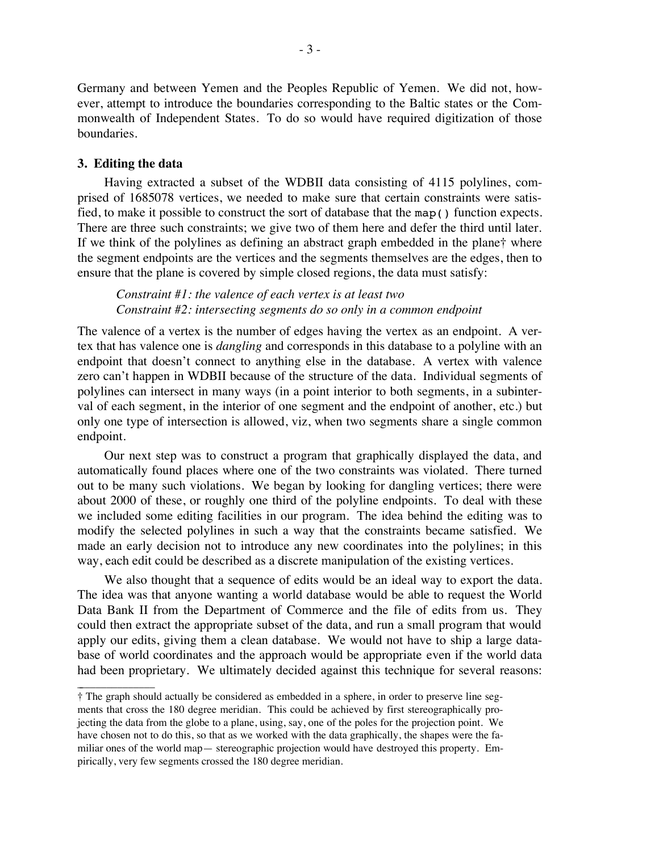Germany and between Yemen and the Peoples Republic of Yemen. We did not, however, attempt to introduce the boundaries corresponding to the Baltic states or the Commonwealth of Independent States. To do so would have required digitization of those boundaries.

#### **3. Editing the data**

 $\overline{\phantom{a}}$  , where  $\overline{\phantom{a}}$ 

Having extracted a subset of the WDBII data consisting of 4115 polylines, comprised of 1685078 vertices, we needed to make sure that certain constraints were satisfied, to make it possible to construct the sort of database that the map() function expects. There are three such constraints; we give two of them here and defer the third until later. If we think of the polylines as defining an abstract graph embedded in the plane† where the segment endpoints are the vertices and the segments themselves are the edges, then to ensure that the plane is covered by simple closed regions, the data must satisfy:

*Constraint #1: the valence of each vertex is at least two Constraint #2: intersecting segments do so only in a common endpoint*

The valence of a vertex is the number of edges having the vertex as an endpoint. A vertex that has valence one is *dangling* and corresponds in this database to a polyline with an endpoint that doesn't connect to anything else in the database. A vertex with valence zero can't happen in WDBII because of the structure of the data. Individual segments of polylines can intersect in many ways (in a point interior to both segments, in a subinterval of each segment, in the interior of one segment and the endpoint of another, etc.) but only one type of intersection is allowed, viz, when two segments share a single common endpoint.

Our next step was to construct a program that graphically displayed the data, and automatically found places where one of the two constraints was violated. There turned out to be many such violations. We began by looking for dangling vertices; there were about 2000 of these, or roughly one third of the polyline endpoints. To deal with these we included some editing facilities in our program. The idea behind the editing was to modify the selected polylines in such a way that the constraints became satisfied. We made an early decision not to introduce any new coordinates into the polylines; in this way, each edit could be described as a discrete manipulation of the existing vertices.

We also thought that a sequence of edits would be an ideal way to export the data. The idea was that anyone wanting a world database would be able to request the World Data Bank II from the Department of Commerce and the file of edits from us. They could then extract the appropriate subset of the data, and run a small program that would apply our edits, giving them a clean database. We would not have to ship a large database of world coordinates and the approach would be appropriate even if the world data had been proprietary. We ultimately decided against this technique for several reasons:

<sup>†</sup> The graph should actually be considered as embedded in a sphere, in order to preserve line segments that cross the 180 degree meridian. This could be achieved by first stereographically projecting the data from the globe to a plane, using, say, one of the poles for the projection point. We have chosen not to do this, so that as we worked with the data graphically, the shapes were the familiar ones of the world map— stereographic projection would have destroyed this property. Empirically, very few segments crossed the 180 degree meridian.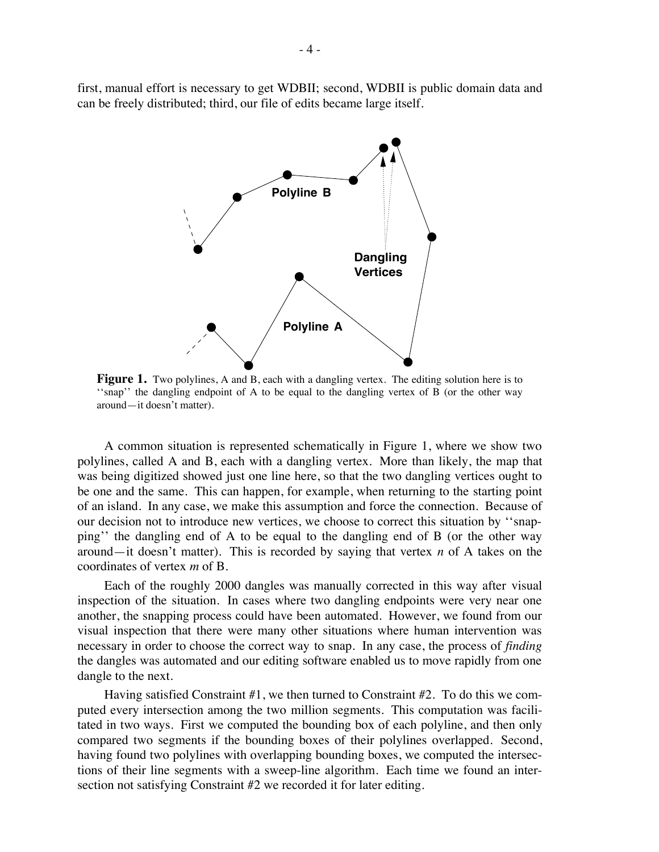first, manual effort is necessary to get WDBII; second, WDBII is public domain data and can be freely distributed; third, our file of edits became large itself.



**Figure 1.** Two polylines, A and B, each with a dangling vertex. The editing solution here is to ''snap'' the dangling endpoint of A to be equal to the dangling vertex of B (or the other way around—it doesn't matter).

A common situation is represented schematically in Figure 1, where we show two polylines, called A and B, each with a dangling vertex. More than likely, the map that was being digitized showed just one line here, so that the two dangling vertices ought to be one and the same. This can happen, for example, when returning to the starting point of an island. In any case, we make this assumption and force the connection. Because of our decision not to introduce new vertices, we choose to correct this situation by ''snapping'' the dangling end of A to be equal to the dangling end of B (or the other way around—it doesn't matter). This is recorded by saying that vertex *n* of A takes on the coordinates of vertex *m* of B.

Each of the roughly 2000 dangles was manually corrected in this way after visual inspection of the situation. In cases where two dangling endpoints were very near one another, the snapping process could have been automated. However, we found from our visual inspection that there were many other situations where human intervention was necessary in order to choose the correct way to snap. In any case, the process of *finding* the dangles was automated and our editing software enabled us to move rapidly from one dangle to the next.

Having satisfied Constraint #1, we then turned to Constraint #2. To do this we computed every intersection among the two million segments. This computation was facilitated in two ways. First we computed the bounding box of each polyline, and then only compared two segments if the bounding boxes of their polylines overlapped. Second, having found two polylines with overlapping bounding boxes, we computed the intersections of their line segments with a sweep-line algorithm. Each time we found an intersection not satisfying Constraint #2 we recorded it for later editing.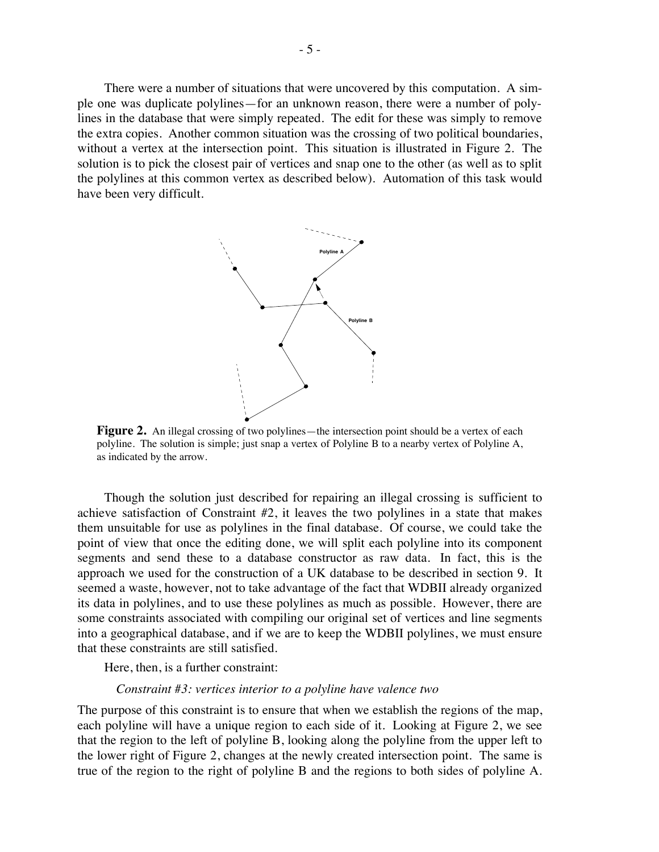There were a number of situations that were uncovered by this computation. A simple one was duplicate polylines—for an unknown reason, there were a number of polylines in the database that were simply repeated. The edit for these was simply to remove the extra copies. Another common situation was the crossing of two political boundaries, without a vertex at the intersection point. This situation is illustrated in Figure 2. The solution is to pick the closest pair of vertices and snap one to the other (as well as to split the polylines at this common vertex as described below). Automation of this task would have been very difficult.



Figure 2. An illegal crossing of two polylines—the intersection point should be a vertex of each polyline. The solution is simple; just snap a vertex of Polyline B to a nearby vertex of Polyline A, as indicated by the arrow.

Though the solution just described for repairing an illegal crossing is sufficient to achieve satisfaction of Constraint #2, it leaves the two polylines in a state that makes them unsuitable for use as polylines in the final database. Of course, we could take the point of view that once the editing done, we will split each polyline into its component segments and send these to a database constructor as raw data. In fact, this is the approach we used for the construction of a UK database to be described in section 9. It seemed a waste, however, not to take advantage of the fact that WDBII already organized its data in polylines, and to use these polylines as much as possible. However, there are some constraints associated with compiling our original set of vertices and line segments into a geographical database, and if we are to keep the WDBII polylines, we must ensure that these constraints are still satisfied.

Here, then, is a further constraint:

#### *Constraint #3: vertices interior to a polyline have valence two*

The purpose of this constraint is to ensure that when we establish the regions of the map, each polyline will have a unique region to each side of it. Looking at Figure 2, we see that the region to the left of polyline B, looking along the polyline from the upper left to the lower right of Figure 2, changes at the newly created intersection point. The same is true of the region to the right of polyline B and the regions to both sides of polyline A.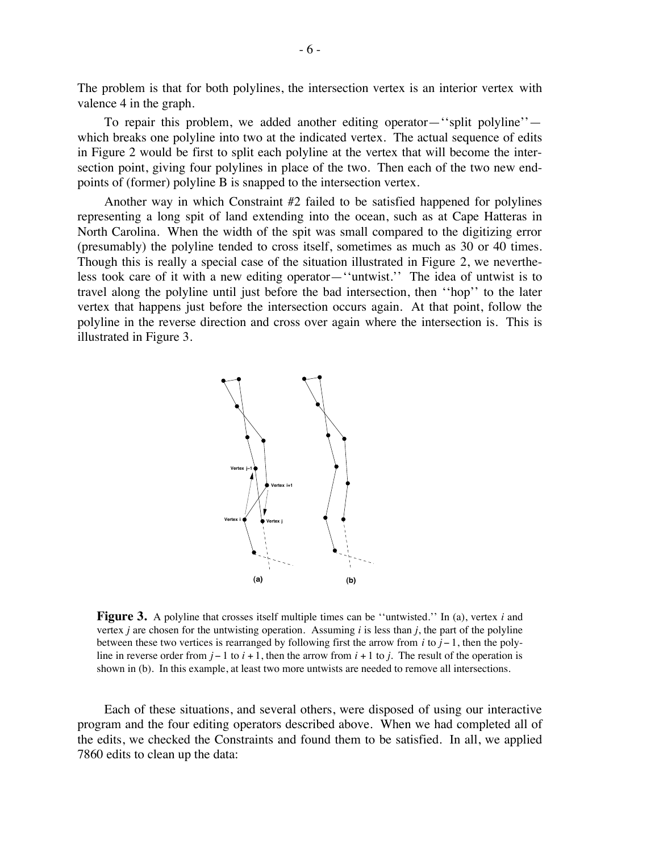The problem is that for both polylines, the intersection vertex is an interior vertex with valence 4 in the graph.

To repair this problem, we added another editing operator—''split polyline'' which breaks one polyline into two at the indicated vertex. The actual sequence of edits in Figure 2 would be first to split each polyline at the vertex that will become the intersection point, giving four polylines in place of the two. Then each of the two new endpoints of (former) polyline B is snapped to the intersection vertex.

Another way in which Constraint  $#2$  failed to be satisfied happened for polylines representing a long spit of land extending into the ocean, such as at Cape Hatteras in North Carolina. When the width of the spit was small compared to the digitizing error (presumably) the polyline tended to cross itself, sometimes as much as 30 or 40 times. Though this is really a special case of the situation illustrated in Figure 2, we nevertheless took care of it with a new editing operator—''untwist.'' The idea of untwist is to travel along the polyline until just before the bad intersection, then ''hop'' to the later vertex that happens just before the intersection occurs again. At that point, follow the polyline in the reverse direction and cross over again where the intersection is. This is illustrated in Figure 3.



**Figure 3.** A polyline that crosses itself multiple times can be "untwisted." In (a), vertex *i* and vertex *j* are chosen for the untwisting operation. Assuming *i* is less than *j*, the part of the polyline between these two vertices is rearranged by following first the arrow from *i* to *j* − 1, then the polyline in reverse order from *j* − 1 to *i* + 1, then the arrow from *i* + 1 to *j*. The result of the operation is shown in (b). In this example, at least two more untwists are needed to remove all intersections.

Each of these situations, and several others, were disposed of using our interactive program and the four editing operators described above. When we had completed all of the edits, we checked the Constraints and found them to be satisfied. In all, we applied 7860 edits to clean up the data: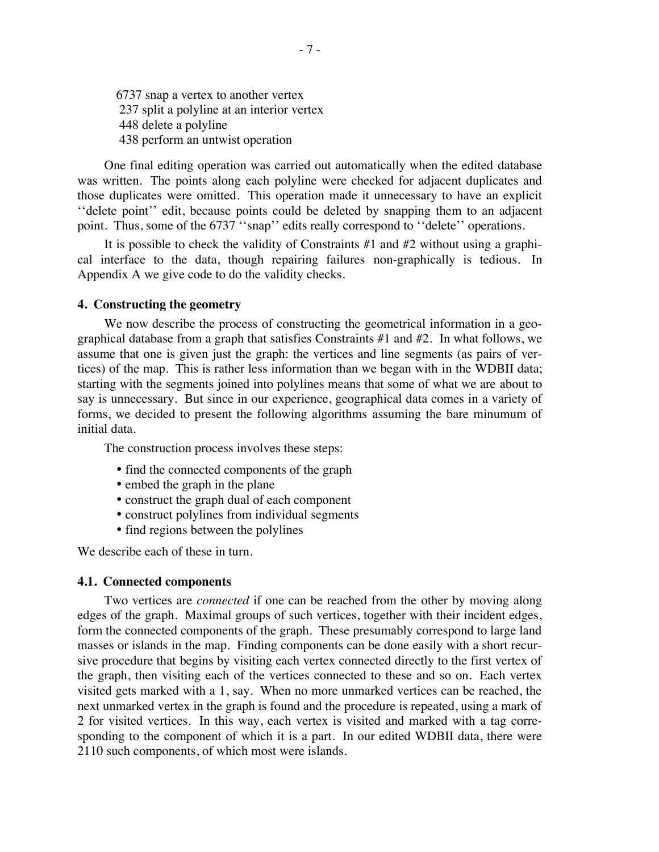6737 snap a vertex to another vertex 237 split a polyline at an interior vertex 448 delete a polyline 438 perform an untwist operation

One final editing operation was carried out automatically when the edited database was written. The points along each polyline were checked for adjacent duplicates and those duplicates were omitted. This operation made it unnecessary to have an explicit ''delete point'' edit, because points could be deleted by snapping them to an adjacent point. Thus, some of the 6737 "snap" edits really correspond to "delete" operations.

It is possible to check the validity of Constraints #1 and #2 without using a graphical interface to the data, though repairing failures non-graphically is tedious. In Appendix A we give code to do the validity checks.

### **4. Constructing the geometry**

We now describe the process of constructing the geometrical information in a geographical database from a graph that satisfies Constraints #1 and #2. In what follows, we assume that one is given just the graph: the vertices and line segments (as pairs of vertices) of the map. This is rather less information than we began with in the WDBII data; starting with the segments joined into polylines means that some of what we are about to say is unnecessary. But since in our experience, geographical data comes in a variety of forms, we decided to present the following algorithms assuming the bare minumum of initial data.

The construction process involves these steps:

- find the connected components of the graph
- embed the graph in the plane
- construct the graph dual of each component
- construct polylines from individual segments
- find regions between the polylines

We describe each of these in turn.

#### **4.1. Connected components**

Two vertices are *connected* if one can be reached from the other by moving along edges of the graph. Maximal groups of such vertices, together with their incident edges, form the connected components of the graph. These presumably correspond to large land masses or islands in the map. Finding components can be done easily with a short recursive procedure that begins by visiting each vertex connected directly to the first vertex of the graph, then visiting each of the vertices connected to these and so on. Each vertex visited gets marked with a 1, say. When no more unmarked vertices can be reached, the next unmarked vertex in the graph is found and the procedure is repeated, using a mark of 2 for visited vertices. In this way, each vertex is visited and marked with a tag corresponding to the component of which it is a part. In our edited WDBII data, there were 2110 such components, of which most were islands.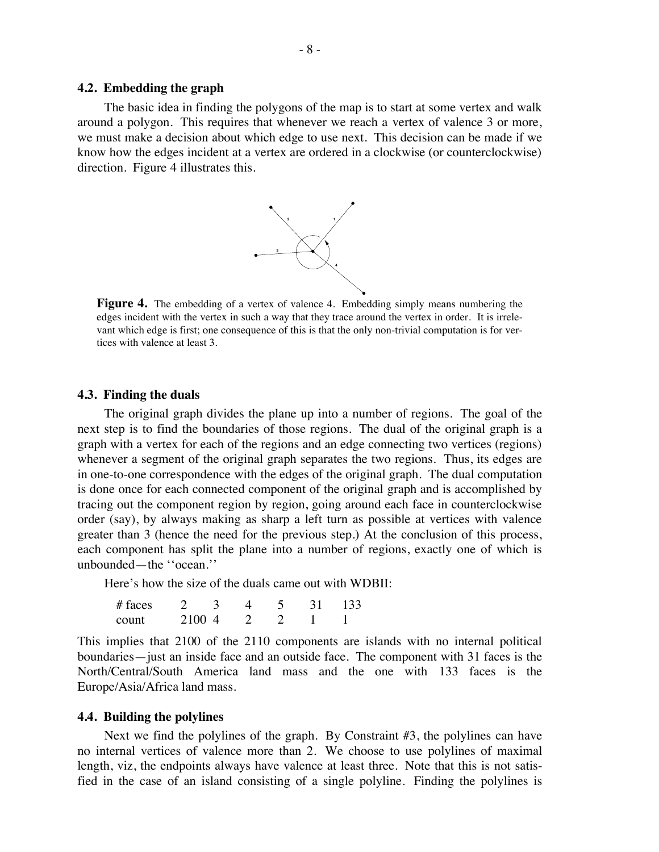### **4.2. Embedding the graph**

The basic idea in finding the polygons of the map is to start at some vertex and walk around a polygon. This requires that whenever we reach a vertex of valence 3 or more, we must make a decision about which edge to use next. This decision can be made if we know how the edges incident at a vertex are ordered in a clockwise (or counterclockwise) direction. Figure 4 illustrates this.



**Figure 4.** The embedding of a vertex of valence 4. Embedding simply means numbering the edges incident with the vertex in such a way that they trace around the vertex in order. It is irrelevant which edge is first; one consequence of this is that the only non-trivial computation is for vertices with valence at least 3.

#### **4.3. Finding the duals**

The original graph divides the plane up into a number of regions. The goal of the next step is to find the boundaries of those regions. The dual of the original graph is a graph with a vertex for each of the regions and an edge connecting two vertices (regions) whenever a segment of the original graph separates the two regions. Thus, its edges are in one-to-one correspondence with the edges of the original graph. The dual computation is done once for each connected component of the original graph and is accomplished by tracing out the component region by region, going around each face in counterclockwise order (say), by always making as sharp a left turn as possible at vertices with valence greater than 3 (hence the need for the previous step.) At the conclusion of this process, each component has split the plane into a number of regions, exactly one of which is unbounded—the ''ocean.''

Here's how the size of the duals came out with WDBII:

| # faces |        |  |  | 133 |
|---------|--------|--|--|-----|
| count   | 2100.4 |  |  |     |

This implies that 2100 of the 2110 components are islands with no internal political boundaries—just an inside face and an outside face. The component with 31 faces is the North/Central/South America land mass and the one with 133 faces is the Europe/Asia/Africa land mass.

### **4.4. Building the polylines**

Next we find the polylines of the graph. By Constraint #3, the polylines can have no internal vertices of valence more than 2. We choose to use polylines of maximal length, viz, the endpoints always have valence at least three. Note that this is not satisfied in the case of an island consisting of a single polyline. Finding the polylines is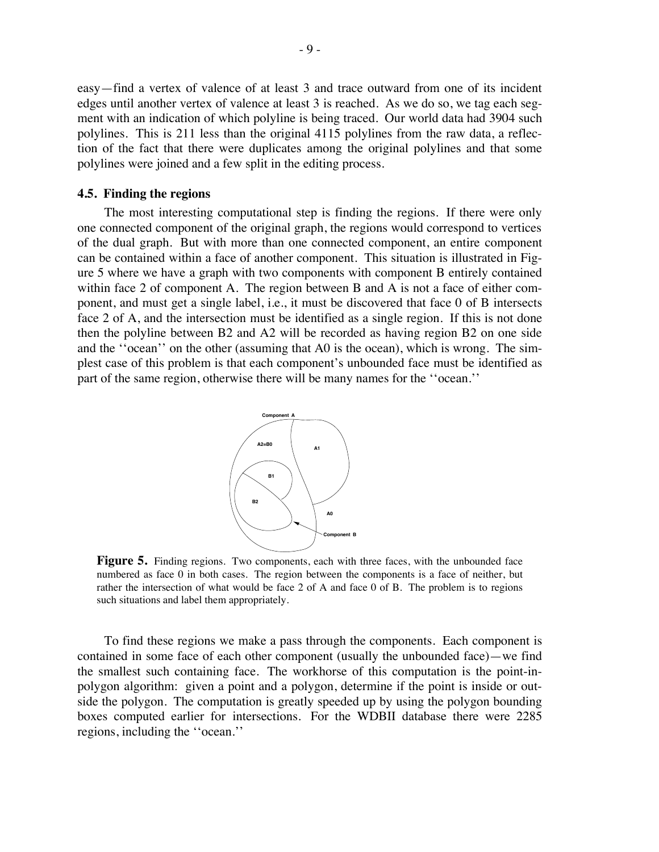easy—find a vertex of valence of at least 3 and trace outward from one of its incident edges until another vertex of valence at least 3 is reached. As we do so, we tag each segment with an indication of which polyline is being traced. Our world data had 3904 such polylines. This is 211 less than the original 4115 polylines from the raw data, a reflection of the fact that there were duplicates among the original polylines and that some polylines were joined and a few split in the editing process.

#### **4.5. Finding the regions**

The most interesting computational step is finding the regions. If there were only one connected component of the original graph, the regions would correspond to vertices of the dual graph. But with more than one connected component, an entire component can be contained within a face of another component. This situation is illustrated in Figure 5 where we have a graph with two components with component B entirely contained within face 2 of component A. The region between B and A is not a face of either component, and must get a single label, i.e., it must be discovered that face 0 of B intersects face 2 of A, and the intersection must be identified as a single region. If this is not done then the polyline between B2 and A2 will be recorded as having region B2 on one side and the ''ocean'' on the other (assuming that A0 is the ocean), which is wrong. The simplest case of this problem is that each component's unbounded face must be identified as part of the same region, otherwise there will be many names for the ''ocean.''



**Figure 5.** Finding regions. Two components, each with three faces, with the unbounded face numbered as face 0 in both cases. The region between the components is a face of neither, but rather the intersection of what would be face 2 of A and face 0 of B. The problem is to regions such situations and label them appropriately.

To find these regions we make a pass through the components. Each component is contained in some face of each other component (usually the unbounded face)—we find the smallest such containing face. The workhorse of this computation is the point-inpolygon algorithm: given a point and a polygon, determine if the point is inside or outside the polygon. The computation is greatly speeded up by using the polygon bounding boxes computed earlier for intersections. For the WDBII database there were 2285 regions, including the ''ocean.''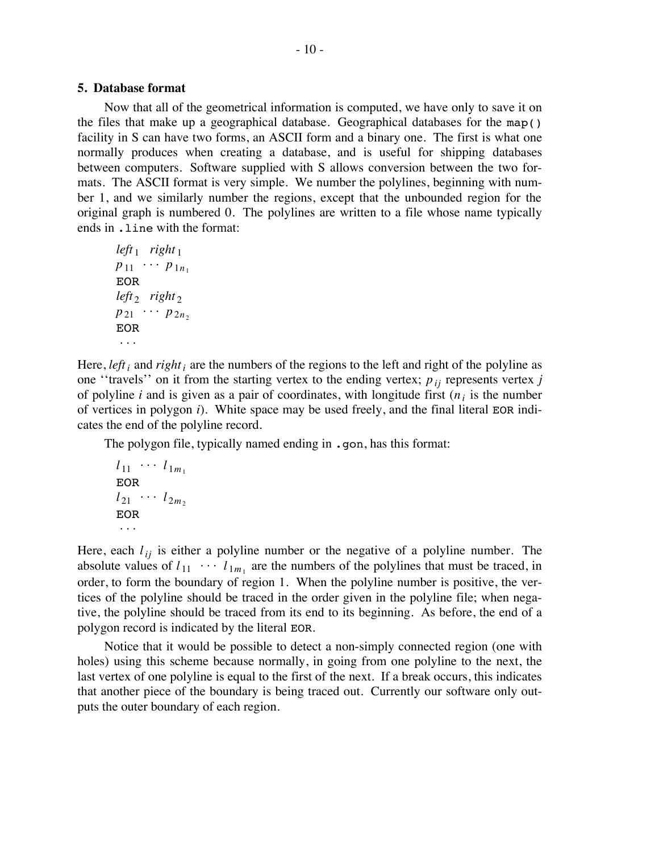### **5. Database format**

Now that all of the geometrical information is computed, we have only to save it on the files that make up a geographical database. Geographical databases for the map() facility in S can have two forms, an ASCII form and a binary one. The first is what one normally produces when creating a database, and is useful for shipping databases between computers. Software supplied with S allows conversion between the two formats. The ASCII format is very simple. We number the polylines, beginning with number 1, and we similarly number the regions, except that the unbounded region for the original graph is numbered 0. The polylines are written to a file whose name typically ends in .line with the format:

 $left<sub>1</sub>$  *right*<sub>1</sub>  $p_{11} \cdots p_{1n_1}$ EOR *left*<sub>2</sub> *right*<sub>2</sub>  $p_{21} \cdots p_{2n_2}$ EOR . . .

Here, *left*; and *right*; are the numbers of the regions to the left and right of the polyline as one "travels" on it from the starting vertex to the ending vertex;  $p_{ij}$  represents vertex *j* of polyline *i* and is given as a pair of coordinates, with longitude first  $(n_i)$  is the number of vertices in polygon *i*). White space may be used freely, and the final literal EOR indicates the end of the polyline record.

The polygon file, typically named ending in .gon, has this format:

$$
l_{11} \cdots l_{1m_1}
$$
  
EOR  

$$
l_{21} \cdots l_{2m_2}
$$
  
EOR  

$$
\cdots
$$

Here, each  $l_{ij}$  is either a polyline number or the negative of a polyline number. The absolute values of  $l_{11} \cdots l_{1m_1}$  are the numbers of the polylines that must be traced, in order, to form the boundary of region 1. When the polyline number is positive, the vertices of the polyline should be traced in the order given in the polyline file; when negative, the polyline should be traced from its end to its beginning. As before, the end of a polygon record is indicated by the literal EOR.

Notice that it would be possible to detect a non-simply connected region (one with holes) using this scheme because normally, in going from one polyline to the next, the last vertex of one polyline is equal to the first of the next. If a break occurs, this indicates that another piece of the boundary is being traced out. Currently our software only outputs the outer boundary of each region.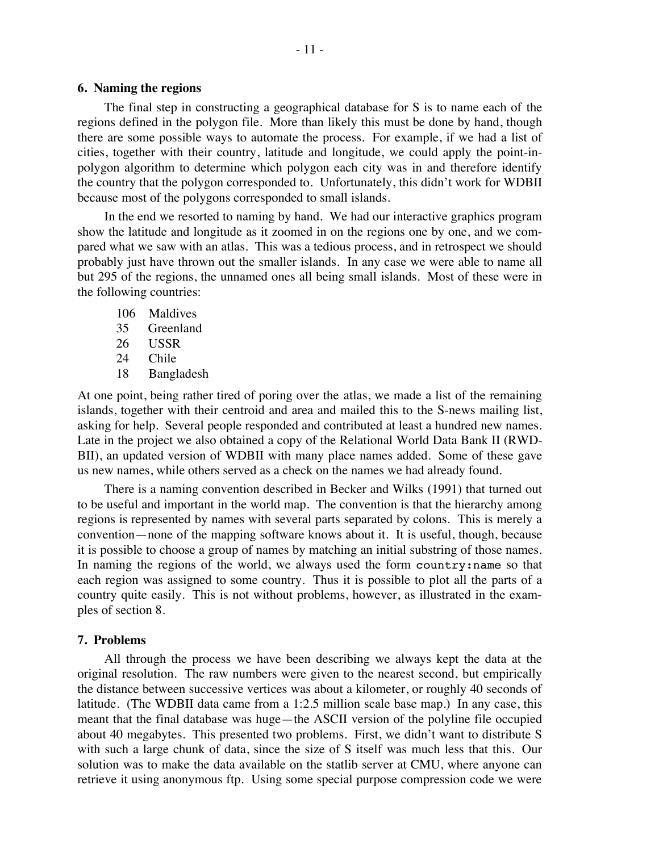### **6. Naming the regions**

The final step in constructing a geographical database for S is to name each of the regions defined in the polygon file. More than likely this must be done by hand, though there are some possible ways to automate the process. For example, if we had a list of cities, together with their country, latitude and longitude, we could apply the point-inpolygon algorithm to determine which polygon each city was in and therefore identify the country that the polygon corresponded to. Unfortunately, this didn't work for WDBII because most of the polygons corresponded to small islands.

In the end we resorted to naming by hand. We had our interactive graphics program show the latitude and longitude as it zoomed in on the regions one by one, and we compared what we saw with an atlas. This was a tedious process, and in retrospect we should probably just have thrown out the smaller islands. In any case we were able to name all but 295 of the regions, the unnamed ones all being small islands. Most of these were in the following countries:

- 106 Maldives
- 35 Greenland
- 26 USSR
- 24 Chile
- 18 Bangladesh

At one point, being rather tired of poring over the atlas, we made a list of the remaining islands, together with their centroid and area and mailed this to the S-news mailing list, asking for help. Several people responded and contributed at least a hundred new names. Late in the project we also obtained a copy of the Relational World Data Bank II (RWD-BII), an updated version of WDBII with many place names added. Some of these gave us new names, while others served as a check on the names we had already found.

There is a naming convention described in Becker and Wilks (1991) that turned out to be useful and important in the world map. The convention is that the hierarchy among regions is represented by names with several parts separated by colons. This is merely a convention—none of the mapping software knows about it. It is useful, though, because it is possible to choose a group of names by matching an initial substring of those names. In naming the regions of the world, we always used the form country:name so that each region was assigned to some country. Thus it is possible to plot all the parts of a country quite easily. This is not without problems, however, as illustrated in the examples of section 8.

#### **7. Problems**

All through the process we have been describing we always kept the data at the original resolution. The raw numbers were given to the nearest second, but empirically the distance between successive vertices was about a kilometer, or roughly 40 seconds of latitude. (The WDBII data came from a 1:2.5 million scale base map.) In any case, this meant that the final database was huge—the ASCII version of the polyline file occupied about 40 megabytes. This presented two problems. First, we didn't want to distribute S with such a large chunk of data, since the size of S itself was much less that this. Our solution was to make the data available on the statlib server at CMU, where anyone can retrieve it using anonymous ftp. Using some special purpose compression code we were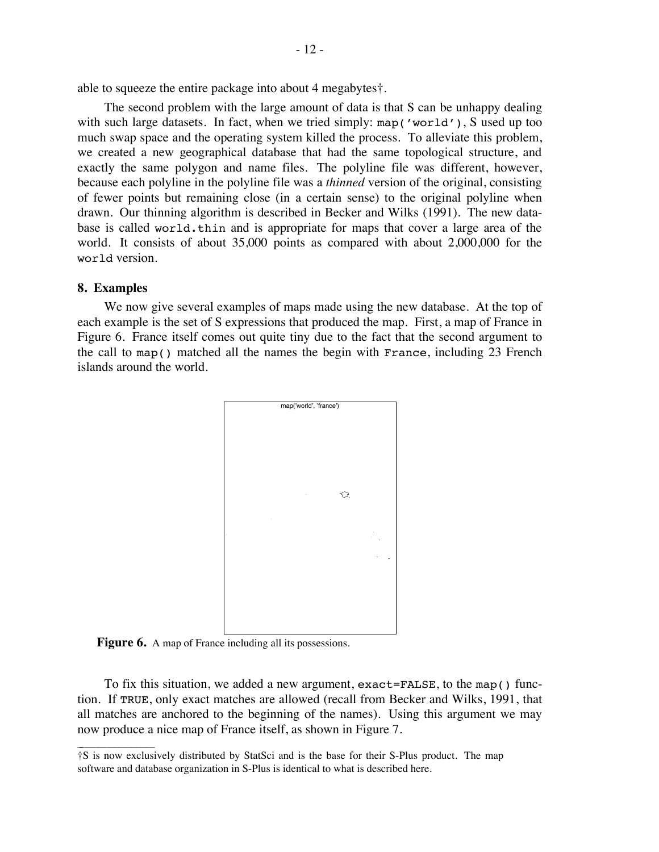able to squeeze the entire package into about 4 megabytes†.

The second problem with the large amount of data is that S can be unhappy dealing with such large datasets. In fact, when we tried simply: map('world'), S used up too much swap space and the operating system killed the process. To alleviate this problem, we created a new geographical database that had the same topological structure, and exactly the same polygon and name files. The polyline file was different, however, because each polyline in the polyline file was a *thinned* version of the original, consisting of fewer points but remaining close (in a certain sense) to the original polyline when drawn. Our thinning algorithm is described in Becker and Wilks (1991). The new database is called world.thin and is appropriate for maps that cover a large area of the world. It consists of about 35,000 points as compared with about 2,000,000 for the world version.

### **8. Examples**

 $\overline{\phantom{a}}$  , where  $\overline{\phantom{a}}$ 

We now give several examples of maps made using the new database. At the top of each example is the set of S expressions that produced the map. First, a map of France in Figure 6. France itself comes out quite tiny due to the fact that the second argument to the call to map() matched all the names the begin with France, including 23 French islands around the world.



Figure 6. A map of France including all its possessions.

To fix this situation, we added a new argument, exact=FALSE, to the map() function. If TRUE, only exact matches are allowed (recall from Becker and Wilks, 1991, that all matches are anchored to the beginning of the names). Using this argument we may now produce a nice map of France itself, as shown in Figure 7.

<sup>†</sup>S is now exclusively distributed by StatSci and is the base for their S-Plus product. The map software and database organization in S-Plus is identical to what is described here.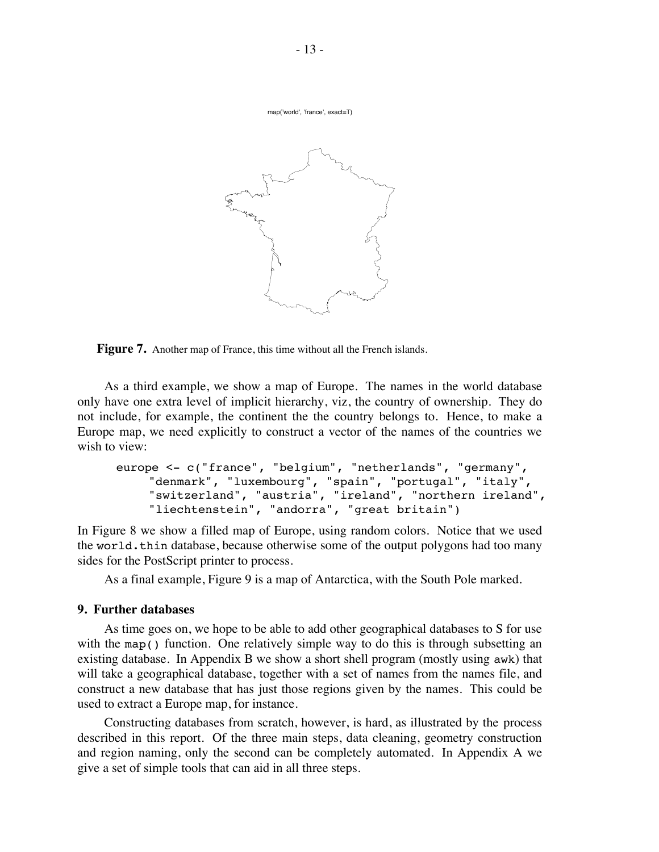map('world', 'france', exact=T)



Figure 7. Another map of France, this time without all the French islands.

As a third example, we show a map of Europe. The names in the world database only have one extra level of implicit hierarchy, viz, the country of ownership. They do not include, for example, the continent the the country belongs to. Hence, to make a Europe map, we need explicitly to construct a vector of the names of the countries we wish to view:

```
europe <- c("france", "belgium", "netherlands", "germany",
    "denmark", "luxembourg", "spain", "portugal", "italy",
    "switzerland", "austria", "ireland", "northern ireland",
    "liechtenstein", "andorra", "great britain")
```
In Figure 8 we show a filled map of Europe, using random colors. Notice that we used the world.thin database, because otherwise some of the output polygons had too many sides for the PostScript printer to process.

As a final example, Figure 9 is a map of Antarctica, with the South Pole marked.

# **9. Further databases**

As time goes on, we hope to be able to add other geographical databases to S for use with the map() function. One relatively simple way to do this is through subsetting an existing database. In Appendix B we show a short shell program (mostly using awk) that will take a geographical database, together with a set of names from the names file, and construct a new database that has just those regions given by the names. This could be used to extract a Europe map, for instance.

Constructing databases from scratch, however, is hard, as illustrated by the process described in this report. Of the three main steps, data cleaning, geometry construction and region naming, only the second can be completely automated. In Appendix A we give a set of simple tools that can aid in all three steps.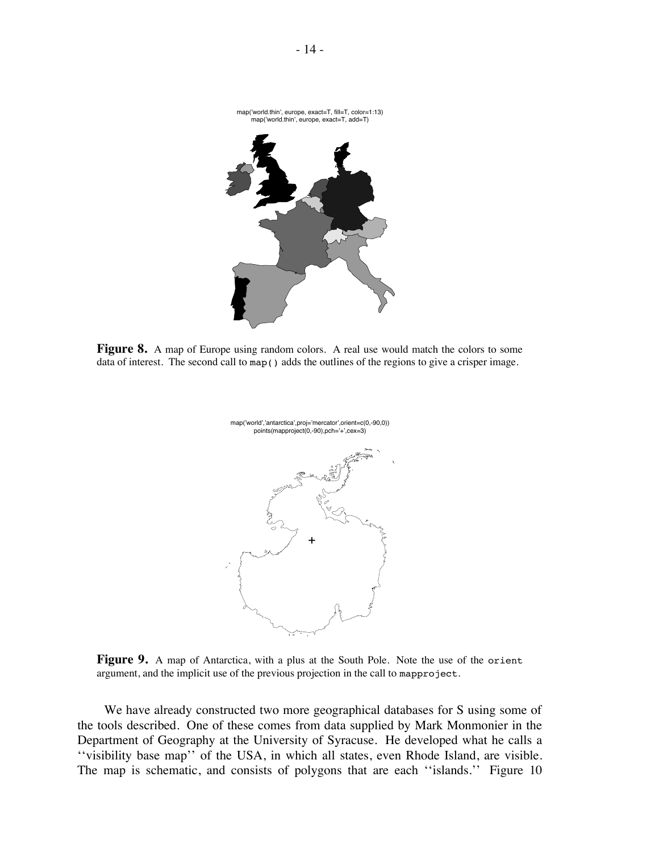

**Figure 8.** A map of Europe using random colors. A real use would match the colors to some data of interest. The second call to map() adds the outlines of the regions to give a crisper image.



**Figure 9.** A map of Antarctica, with a plus at the South Pole. Note the use of the orient argument, and the implicit use of the previous projection in the call to mapproject.

We have already constructed two more geographical databases for S using some of the tools described. One of these comes from data supplied by Mark Monmonier in the Department of Geography at the University of Syracuse. He developed what he calls a ''visibility base map'' of the USA, in which all states, even Rhode Island, are visible. The map is schematic, and consists of polygons that are each ''islands.'' Figure 10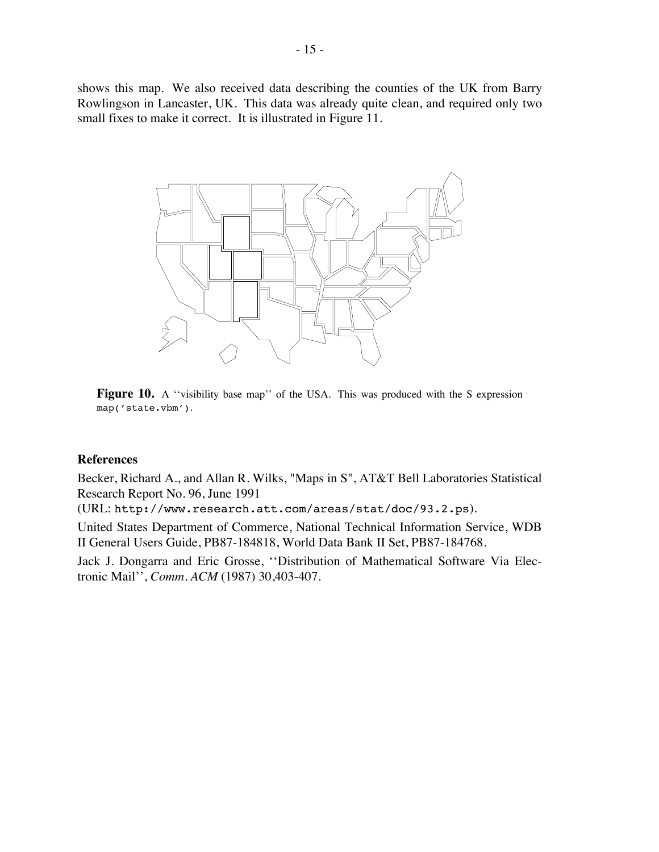shows this map. We also received data describing the counties of the UK from Barry Rowlingson in Lancaster, UK. This data was already quite clean, and required only two small fixes to make it correct. It is illustrated in Figure 11.



**Figure 10.** A "visibility base map" of the USA. This was produced with the S expression map('state.vbm').

#### **References**

Becker, Richard A., and Allan R. Wilks, "Maps in S", AT&T Bell Laboratories Statistical Research Report No. 96, June 1991

(URL: http://www.research.att.com/areas/stat/doc/93.2.ps).

United States Department of Commerce, National Technical Information Service, WDB II General Users Guide, PB87-184818, World Data Bank II Set, PB87-184768.

Jack J. Dongarra and Eric Grosse, ''Distribution of Mathematical Software Via Electronic Mail'', *Comm. ACM* (1987) 30,403-407.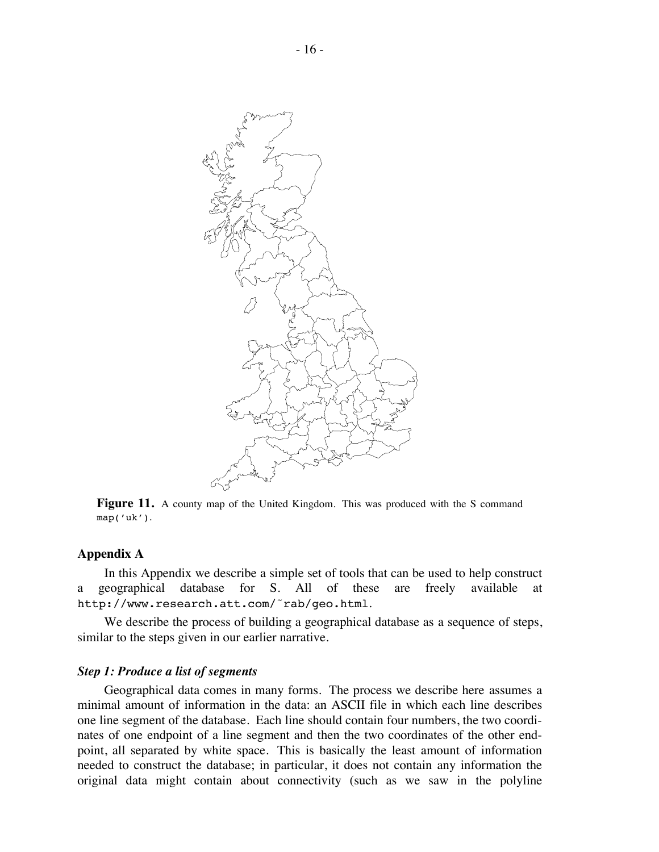

Figure 11. A county map of the United Kingdom. This was produced with the S command map('uk').

#### **Appendix A**

In this Appendix we describe a simple set of tools that can be used to help construct a geographical database for S. All of these are freely available at http://www.research.att.com/˜rab/geo.html.

We describe the process of building a geographical database as a sequence of steps, similar to the steps given in our earlier narrative.

### *Step 1: Produce a list of segments*

Geographical data comes in many forms. The process we describe here assumes a minimal amount of information in the data: an ASCII file in which each line describes one line segment of the database. Each line should contain four numbers, the two coordinates of one endpoint of a line segment and then the two coordinates of the other endpoint, all separated by white space. This is basically the least amount of information needed to construct the database; in particular, it does not contain any information the original data might contain about connectivity (such as we saw in the polyline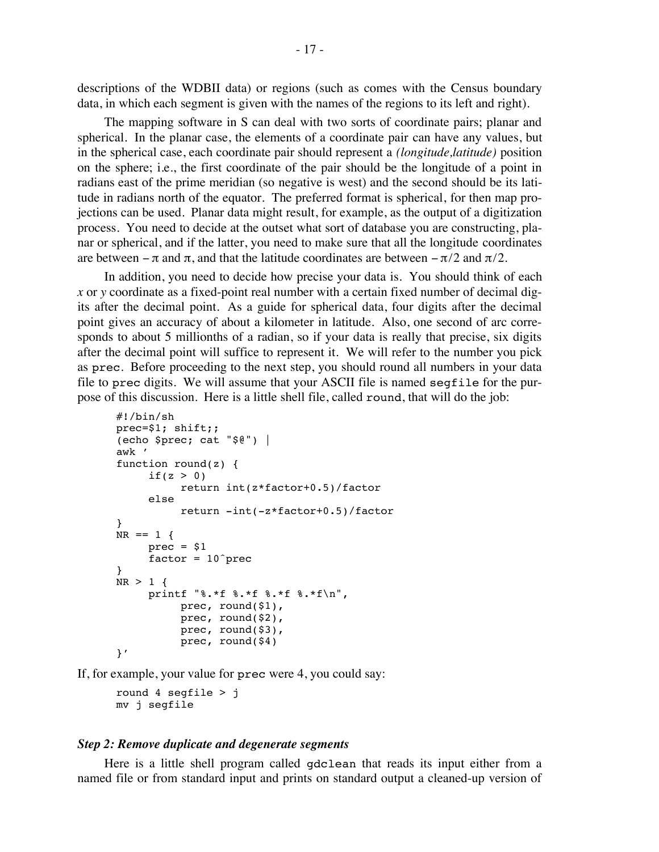descriptions of the WDBII data) or regions (such as comes with the Census boundary data, in which each segment is given with the names of the regions to its left and right).

The mapping software in S can deal with two sorts of coordinate pairs; planar and spherical. In the planar case, the elements of a coordinate pair can have any values, but in the spherical case, each coordinate pair should represent a *(longitude,latitude)* position on the sphere; i.e., the first coordinate of the pair should be the longitude of a point in radians east of the prime meridian (so negative is west) and the second should be its latitude in radians north of the equator. The preferred format is spherical, for then map projections can be used. Planar data might result, for example, as the output of a digitization process. You need to decide at the outset what sort of database you are constructing, planar or spherical, and if the latter, you need to make sure that all the longitude coordinates are between  $-\pi$  and  $\pi$ , and that the latitude coordinates are between  $-\pi/2$  and  $\pi/2$ .

In addition, you need to decide how precise your data is. You should think of each *x* or *y* coordinate as a fixed-point real number with a certain fixed number of decimal digits after the decimal point. As a guide for spherical data, four digits after the decimal point gives an accuracy of about a kilometer in latitude. Also, one second of arc corresponds to about 5 millionths of a radian, so if your data is really that precise, six digits after the decimal point will suffice to represent it. We will refer to the number you pick as prec. Before proceeding to the next step, you should round all numbers in your data file to prec digits. We will assume that your ASCII file is named segfile for the purpose of this discussion. Here is a little shell file, called round, that will do the job:

```
#!/bin/sh
prec=$1; shift;;
(echo $prec; cat "$@") |
awk '
function round(z) {
     if(z > 0)return int(z*factor+0.5)/factor
     else
          return -int(-z*factor+0.5)/factor
}
NR == 1 {
     prec = $1factor = 10^{\circ}prec
}
NR > 1 {
     printf "%.*f %.*f %.*f %.*f\n",
          prec, round($1),
          prec, round($2),
          prec, round($3),
          prec, round($4)
}'
```
If, for example, your value for prec were 4, you could say:

```
round 4 seqfile > jmv j segfile
```
#### *Step 2: Remove duplicate and degenerate segments*

Here is a little shell program called gdclean that reads its input either from a named file or from standard input and prints on standard output a cleaned-up version of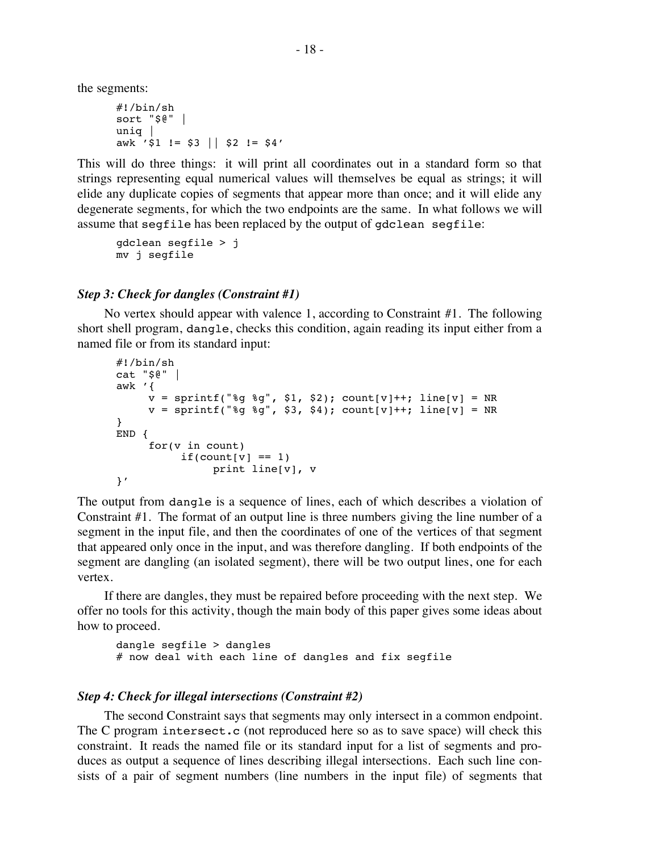the segments:

```
#!/bin/sh
sort "$@" |
uniq |
awk '$1 != $3 || $2 != $4'
```
This will do three things: it will print all coordinates out in a standard form so that strings representing equal numerical values will themselves be equal as strings; it will elide any duplicate copies of segments that appear more than once; and it will elide any degenerate segments, for which the two endpoints are the same. In what follows we will assume that segfile has been replaced by the output of gdclean segfile:

```
gdclean segfile > j
mv j segfile
```
# *Step 3: Check for dangles (Constraint #1)*

No vertex should appear with valence 1, according to Constraint #1. The following short shell program, dangle, checks this condition, again reading its input either from a named file or from its standard input:

```
#!/bin/sh
cat "$@" |
awk '{
     v = sprintf("%g %g", $1, $2); count[v]++; line[v] = NR
     v = sprintf("%q %q", $3, $4); count[v]++; line[v] = NR
}
END {
     for(v in count)
          if(count[v] == 1)print line[v], v
}'
```
The output from dangle is a sequence of lines, each of which describes a violation of Constraint #1. The format of an output line is three numbers giving the line number of a segment in the input file, and then the coordinates of one of the vertices of that segment that appeared only once in the input, and was therefore dangling. If both endpoints of the segment are dangling (an isolated segment), there will be two output lines, one for each vertex.

If there are dangles, they must be repaired before proceeding with the next step. We offer no tools for this activity, though the main body of this paper gives some ideas about how to proceed.

```
dangle segfile > dangles
# now deal with each line of dangles and fix segfile
```
### *Step 4: Check for illegal intersections (Constraint #2)*

The second Constraint says that segments may only intersect in a common endpoint. The C program intersect.c (not reproduced here so as to save space) will check this constraint. It reads the named file or its standard input for a list of segments and produces as output a sequence of lines describing illegal intersections. Each such line consists of a pair of segment numbers (line numbers in the input file) of segments that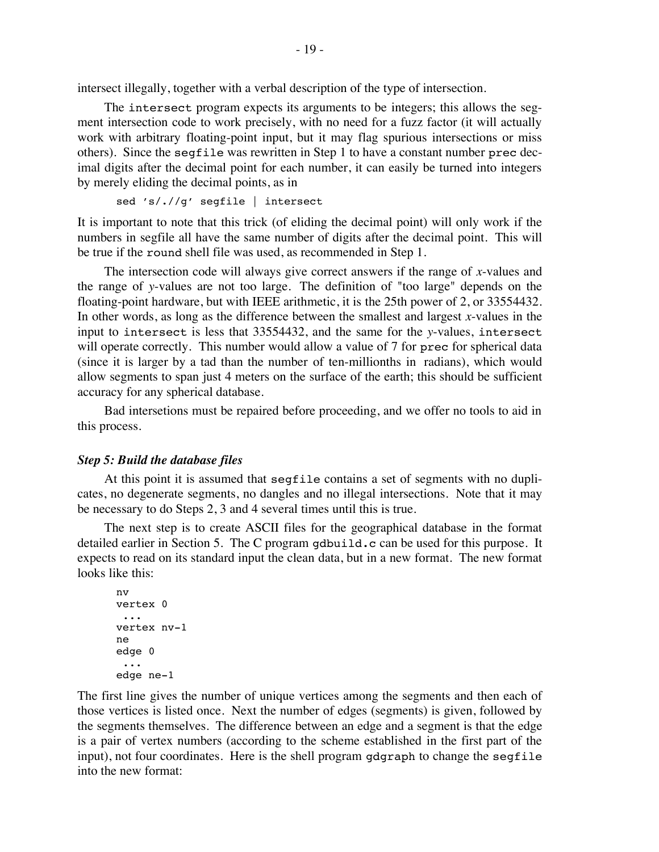intersect illegally, together with a verbal description of the type of intersection.

The intersect program expects its arguments to be integers; this allows the segment intersection code to work precisely, with no need for a fuzz factor (it will actually work with arbitrary floating-point input, but it may flag spurious intersections or miss others). Since the segfile was rewritten in Step 1 to have a constant number prec decimal digits after the decimal point for each number, it can easily be turned into integers by merely eliding the decimal points, as in

```
sed 's/.//g' segfile | intersect
```
It is important to note that this trick (of eliding the decimal point) will only work if the numbers in segfile all have the same number of digits after the decimal point. This will be true if the round shell file was used, as recommended in Step 1.

The intersection code will always give correct answers if the range of *x*-values and the range of *y*-values are not too large. The definition of "too large" depends on the floating-point hardware, but with IEEE arithmetic, it is the 25th power of 2, or 33554432. In other words, as long as the difference between the smallest and largest *x*-values in the input to intersect is less that 33554432, and the same for the *y*-values, intersect will operate correctly. This number would allow a value of 7 for prec for spherical data (since it is larger by a tad than the number of ten-millionths in radians), which would allow segments to span just 4 meters on the surface of the earth; this should be sufficient accuracy for any spherical database.

Bad intersetions must be repaired before proceeding, and we offer no tools to aid in this process.

### *Step 5: Build the database files*

At this point it is assumed that segfile contains a set of segments with no duplicates, no degenerate segments, no dangles and no illegal intersections. Note that it may be necessary to do Steps 2, 3 and 4 several times until this is true.

The next step is to create ASCII files for the geographical database in the format detailed earlier in Section 5. The C program gdbuild.c can be used for this purpose. It expects to read on its standard input the clean data, but in a new format. The new format looks like this:

```
nv
vertex 0
 ...
vertex nv-1
ne
edge 0
 ...
edge ne-1
```
The first line gives the number of unique vertices among the segments and then each of those vertices is listed once. Next the number of edges (segments) is given, followed by the segments themselves. The difference between an edge and a segment is that the edge is a pair of vertex numbers (according to the scheme established in the first part of the input), not four coordinates. Here is the shell program gdgraph to change the segfile into the new format: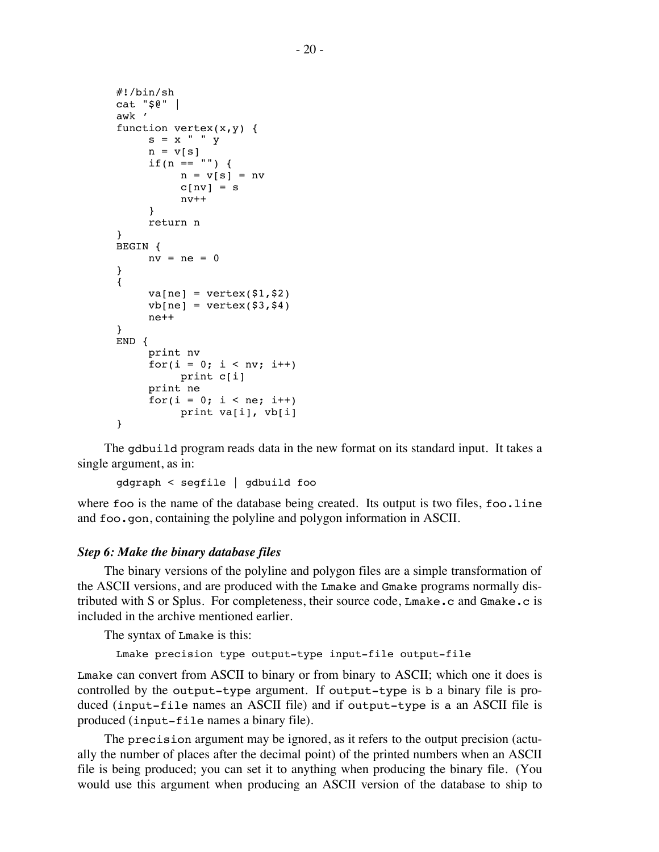```
#!/bin/sh
cat "$@" |
awk '
function vertex(x,y) {
     s = x " " y
    n = v[s]if(n == "") {
          n = v[s] = nvc[nv] = snv++
     }
     return n
}
BEGIN {
    nv = ne = 0}
{
     va[ne] = vertex($1,$2)
     vb[ne] = vertex(§3, \$4)ne++}
END {
     print nv
     for(i = 0; i < nv; i++)print c[i]
     print ne
     for(i = 0; i < ne; i++)print va[i], vb[i]
}
```
The gdbuild program reads data in the new format on its standard input. It takes a single argument, as in:

gdgraph < segfile | gdbuild foo

where foo is the name of the database being created. Its output is two files, foo.line and foo.gon, containing the polyline and polygon information in ASCII.

# *Step 6: Make the binary database files*

The binary versions of the polyline and polygon files are a simple transformation of the ASCII versions, and are produced with the Lmake and Gmake programs normally distributed with S or Splus. For completeness, their source code, Lmake.c and Gmake.c is included in the archive mentioned earlier.

The syntax of Lmake is this:

```
Lmake precision type output-type input-file output-file
```
Lmake can convert from ASCII to binary or from binary to ASCII; which one it does is controlled by the output-type argument. If output-type is b a binary file is produced (input-file names an ASCII file) and if output-type is a an ASCII file is produced (input-file names a binary file).

The precision argument may be ignored, as it refers to the output precision (actually the number of places after the decimal point) of the printed numbers when an ASCII file is being produced; you can set it to anything when producing the binary file. (You would use this argument when producing an ASCII version of the database to ship to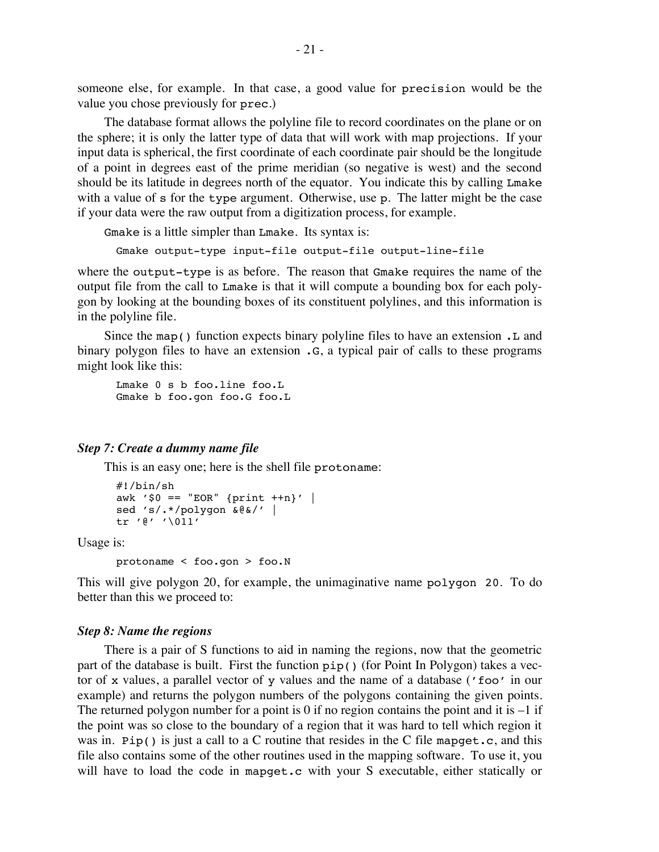someone else, for example. In that case, a good value for precision would be the value you chose previously for prec.)

The database format allows the polyline file to record coordinates on the plane or on the sphere; it is only the latter type of data that will work with map projections. If your input data is spherical, the first coordinate of each coordinate pair should be the longitude of a point in degrees east of the prime meridian (so negative is west) and the second should be its latitude in degrees north of the equator. You indicate this by calling Lmake with a value of s for the type argument. Otherwise, use p. The latter might be the case if your data were the raw output from a digitization process, for example.

Gmake is a little simpler than Lmake. Its syntax is:

Gmake output-type input-file output-file output-line-file

where the output-type is as before. The reason that Gmake requires the name of the output file from the call to Lmake is that it will compute a bounding box for each polygon by looking at the bounding boxes of its constituent polylines, and this information is in the polyline file.

Since the map() function expects binary polyline files to have an extension .L and binary polygon files to have an extension  $\cdot$  G, a typical pair of calls to these programs might look like this:

Lmake 0 s b foo.line foo.L Gmake b foo.gon foo.G foo.L

#### *Step 7: Create a dummy name file*

This is an easy one; here is the shell file protoname:

```
#!/bin/sh
awk '\$0 == "EOR" {print ++n}' |
sed 's/.*/polygon &@&/' |
tr '@' '\011'
```
Usage is:

```
protoname < foo.gon > foo.N
```
This will give polygon 20, for example, the unimaginative name polygon 20. To do better than this we proceed to:

#### *Step 8: Name the regions*

There is a pair of S functions to aid in naming the regions, now that the geometric part of the database is built. First the function pip() (for Point In Polygon) takes a vector of x values, a parallel vector of y values and the name of a database ('foo' in our example) and returns the polygon numbers of the polygons containing the given points. The returned polygon number for a point is 0 if no region contains the point and it is  $-1$  if the point was so close to the boundary of a region that it was hard to tell which region it was in. Pip() is just a call to a C routine that resides in the C file mapget.c, and this file also contains some of the other routines used in the mapping software. To use it, you will have to load the code in mapget.c with your S executable, either statically or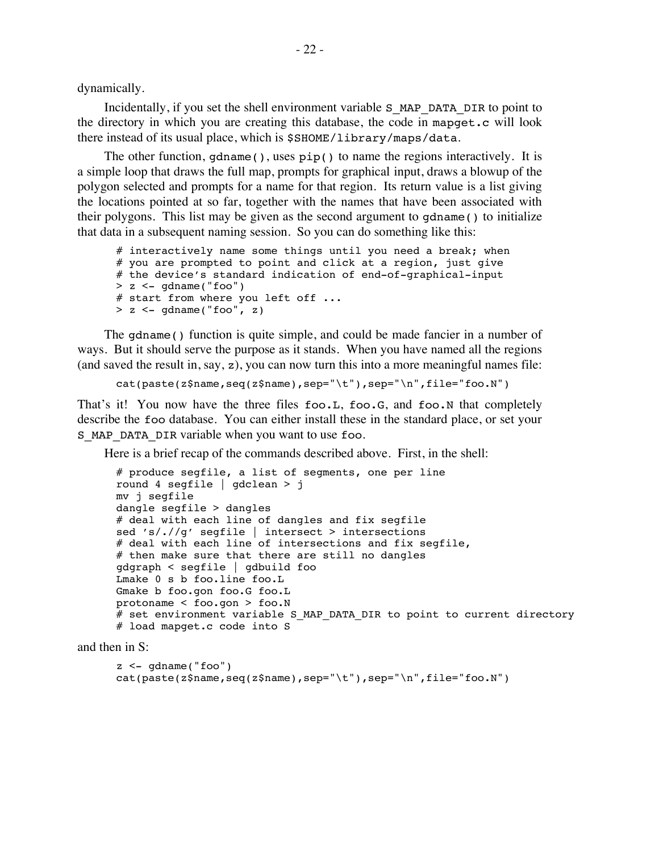dynamically.

Incidentally, if you set the shell environment variable S\_MAP\_DATA\_DIR to point to the directory in which you are creating this database, the code in mapget.c will look there instead of its usual place, which is \$SHOME/library/maps/data.

The other function, gdname(), uses  $\pi(p)$  to name the regions interactively. It is a simple loop that draws the full map, prompts for graphical input, draws a blowup of the polygon selected and prompts for a name for that region. Its return value is a list giving the locations pointed at so far, together with the names that have been associated with their polygons. This list may be given as the second argument to gdname() to initialize that data in a subsequent naming session. So you can do something like this:

```
# interactively name some things until you need a break; when
# you are prompted to point and click at a region, just give
# the device's standard indication of end-of-graphical-input
> z < - qdname("foo")
# start from where you left off ...
> z < - gdname("foo", z)
```
The gdname() function is quite simple, and could be made fancier in a number of ways. But it should serve the purpose as it stands. When you have named all the regions (and saved the result in, say, z), you can now turn this into a more meaningful names file:

cat(paste(z\$name,seq(z\$name),sep="\t"),sep="\n",file="foo.N")

That's it! You now have the three files foo.L, foo.G, and foo.N that completely describe the foo database. You can either install these in the standard place, or set your S MAP DATA DIR variable when you want to use foo.

Here is a brief recap of the commands described above. First, in the shell:

```
# produce segfile, a list of segments, one per line
round 4 segfile | gdclean > j
mv j segfile
dangle segfile > dangles
# deal with each line of dangles and fix segfile
sed 's/.//g' segfile | intersect > intersections
# deal with each line of intersections and fix segfile,
# then make sure that there are still no dangles
gdgraph < segfile | gdbuild foo
Lmake 0 s b foo.line foo.L
Gmake b foo.gon foo.G foo.L
protoname < foo.gon > foo.N
# set environment variable S MAP DATA DIR to point to current directory
# load mapget.c code into S
```
and then in S:

```
z <- qdname("foo")
cat(paste(z$name,seq(z$name),sep="\t"),sep="\n",file="foo.N")
```